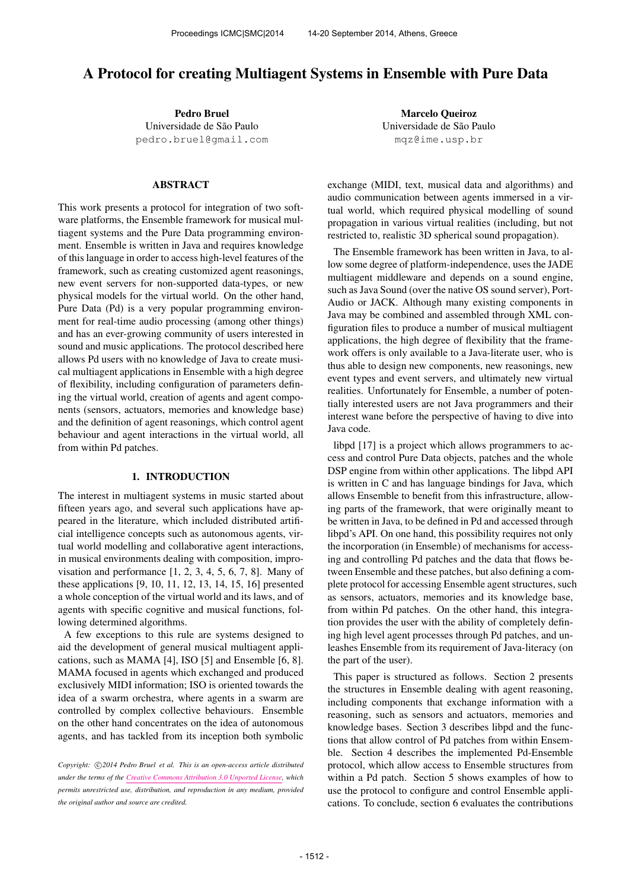# A Protocol for creating Multiagent Systems in Ensemble with Pure Data

Pedro Bruel Universidade de São Paulo [pedro.bruel@gmail.com](mailto:pedro.bruel@gmail.com)

### ABSTRACT

This work presents a protocol for integration of two software platforms, the Ensemble framework for musical multiagent systems and the Pure Data programming environment. Ensemble is written in Java and requires knowledge of this language in order to access high-level features of the framework, such as creating customized agent reasonings, new event servers for non-supported data-types, or new physical models for the virtual world. On the other hand, Pure Data (Pd) is a very popular programming environment for real-time audio processing (among other things) and has an ever-growing community of users interested in sound and music applications. The protocol described here allows Pd users with no knowledge of Java to create musical multiagent applications in Ensemble with a high degree of flexibility, including configuration of parameters defining the virtual world, creation of agents and agent components (sensors, actuators, memories and knowledge base) and the definition of agent reasonings, which control agent behaviour and agent interactions in the virtual world, all from within Pd patches.

#### 1. INTRODUCTION

The interest in multiagent systems in music started about fifteen years ago, and several such applications have appeared in the literature, which included distributed artificial intelligence concepts such as autonomous agents, virtual world modelling and collaborative agent interactions, in musical environments dealing with composition, improvisation and performance [1, 2, 3, 4, 5, 6, 7, 8]. Many of these applications [9, 10, 11, 12, 13, 14, 15, 16] presented a whole conception of the virtual world and its laws, and of agents with specific cognitive and musical functions, following determined algorithms.

A few exceptions to this rule are systems designed to aid the development of general musical multiagent applications, such as MAMA [4], ISO [5] and Ensemble [6, 8]. MAMA focused in agents which exchanged and produced exclusively MIDI information; ISO is oriented towards the idea of a swarm orchestra, where agents in a swarm are controlled by complex collective behaviours. Ensemble on the other hand concentrates on the idea of autonomous agents, and has tackled from its inception both symbolic

Copyright:  $\bigcirc$ 2014 Pedro Bruel et al. This is an open-access article distributed *under the terms of the [Creative Commons Attribution 3.0 Unported License,](http://creativecommons.org/licenses/by/3.0/) which permits unrestricted use, distribution, and reproduction in any medium, provided the original author and source are credited.*

Marcelo Queiroz Universidade de São Paulo [mqz@ime.usp.br](mailto:mqz@ime.usp.br)

exchange (MIDI, text, musical data and algorithms) and audio communication between agents immersed in a virtual world, which required physical modelling of sound propagation in various virtual realities (including, but not restricted to, realistic 3D spherical sound propagation).

The Ensemble framework has been written in Java, to allow some degree of platform-independence, uses the JADE multiagent middleware and depends on a sound engine, such as Java Sound (over the native OS sound server), Port-Audio or JACK. Although many existing components in Java may be combined and assembled through XML configuration files to produce a number of musical multiagent applications, the high degree of flexibility that the framework offers is only available to a Java-literate user, who is thus able to design new components, new reasonings, new event types and event servers, and ultimately new virtual realities. Unfortunately for Ensemble, a number of potentially interested users are not Java programmers and their interest wane before the perspective of having to dive into Java code.

libpd [17] is a project which allows programmers to access and control Pure Data objects, patches and the whole DSP engine from within other applications. The libpd API is written in C and has language bindings for Java, which allows Ensemble to benefit from this infrastructure, allowing parts of the framework, that were originally meant to be written in Java, to be defined in Pd and accessed through libpd's API. On one hand, this possibility requires not only the incorporation (in Ensemble) of mechanisms for accessing and controlling Pd patches and the data that flows between Ensemble and these patches, but also defining a complete protocol for accessing Ensemble agent structures, such as sensors, actuators, memories and its knowledge base, from within Pd patches. On the other hand, this integration provides the user with the ability of completely defining high level agent processes through Pd patches, and unleashes Ensemble from its requirement of Java-literacy (on the part of the user).

This paper is structured as follows. Section 2 presents the structures in Ensemble dealing with agent reasoning, including components that exchange information with a reasoning, such as sensors and actuators, memories and knowledge bases. Section 3 describes libpd and the functions that allow control of Pd patches from within Ensemble. Section 4 describes the implemented Pd-Ensemble protocol, which allow access to Ensemble structures from within a Pd patch. Section 5 shows examples of how to use the protocol to configure and control Ensemble applications. To conclude, section 6 evaluates the contributions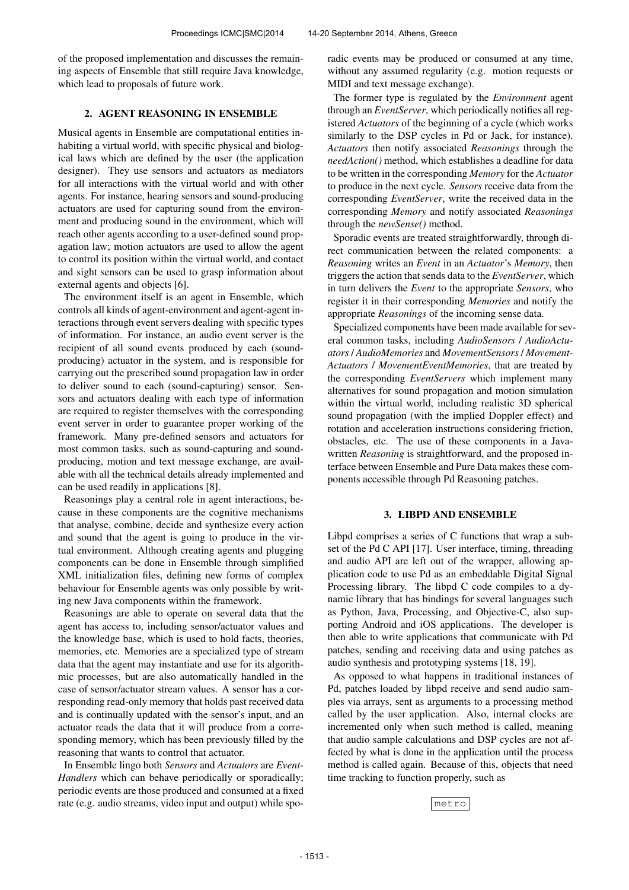of the proposed implementation and discusses the remaining aspects of Ensemble that still require Java knowledge, which lead to proposals of future work.

### 2. AGENT REASONING IN ENSEMBLE

Musical agents in Ensemble are computational entities inhabiting a virtual world, with specific physical and biological laws which are defined by the user (the application designer). They use sensors and actuators as mediators for all interactions with the virtual world and with other agents. For instance, hearing sensors and sound-producing actuators are used for capturing sound from the environment and producing sound in the environment, which will reach other agents according to a user-defined sound propagation law; motion actuators are used to allow the agent to control its position within the virtual world, and contact and sight sensors can be used to grasp information about external agents and objects [6].

The environment itself is an agent in Ensemble, which controls all kinds of agent-environment and agent-agent interactions through event servers dealing with specific types of information. For instance, an audio event server is the recipient of all sound events produced by each (soundproducing) actuator in the system, and is responsible for carrying out the prescribed sound propagation law in order to deliver sound to each (sound-capturing) sensor. Sensors and actuators dealing with each type of information are required to register themselves with the corresponding event server in order to guarantee proper working of the framework. Many pre-defined sensors and actuators for most common tasks, such as sound-capturing and soundproducing, motion and text message exchange, are available with all the technical details already implemented and can be used readily in applications [8].

Reasonings play a central role in agent interactions, because in these components are the cognitive mechanisms that analyse, combine, decide and synthesize every action and sound that the agent is going to produce in the virtual environment. Although creating agents and plugging components can be done in Ensemble through simplified XML initialization files, defining new forms of complex behaviour for Ensemble agents was only possible by writing new Java components within the framework.

Reasonings are able to operate on several data that the agent has access to, including sensor/actuator values and the knowledge base, which is used to hold facts, theories, memories, etc. Memories are a specialized type of stream data that the agent may instantiate and use for its algorithmic processes, but are also automatically handled in the case of sensor/actuator stream values. A sensor has a corresponding read-only memory that holds past received data and is continually updated with the sensor's input, and an actuator reads the data that it will produce from a corresponding memory, which has been previously filled by the reasoning that wants to control that actuator.

In Ensemble lingo both *Sensors* and *Actuators* are *Event-Handlers* which can behave periodically or sporadically; periodic events are those produced and consumed at a fixed rate (e.g. audio streams, video input and output) while sporadic events may be produced or consumed at any time, without any assumed regularity (e.g. motion requests or MIDI and text message exchange).

The former type is regulated by the *Environment* agent through an *EventServer*, which periodically notifies all registered *Actuators* of the beginning of a cycle (which works similarly to the DSP cycles in Pd or Jack, for instance). *Actuators* then notify associated *Reasonings* through the *needAction()* method, which establishes a deadline for data to be written in the corresponding *Memory* for the *Actuator* to produce in the next cycle. *Sensors* receive data from the corresponding *EventServer*, write the received data in the corresponding *Memory* and notify associated *Reasonings* through the *newSense()* method.

Sporadic events are treated straightforwardly, through direct communication between the related components: a *Reasoning* writes an *Event* in an *Actuator*'s *Memory*, then triggers the action that sends data to the *EventServer*, which in turn delivers the *Event* to the appropriate *Sensors*, who register it in their corresponding *Memories* and notify the appropriate *Reasonings* of the incoming sense data.

Specialized components have been made available for several common tasks, including *AudioSensors* / *AudioActuators* / *AudioMemories* and *MovementSensors* / *Movement-Actuators* / *MovementEventMemories*, that are treated by the corresponding *EventServers* which implement many alternatives for sound propagation and motion simulation within the virtual world, including realistic 3D spherical sound propagation (with the implied Doppler effect) and rotation and acceleration instructions considering friction, obstacles, etc. The use of these components in a Javawritten *Reasoning* is straightforward, and the proposed interface between Ensemble and Pure Data makes these components accessible through Pd Reasoning patches.

### 3. LIBPD AND ENSEMBLE

Libpd comprises a series of C functions that wrap a subset of the Pd C API [17]. User interface, timing, threading and audio API are left out of the wrapper, allowing application code to use Pd as an embeddable Digital Signal Processing library. The libpd C code compiles to a dynamic library that has bindings for several languages such as Python, Java, Processing, and Objective-C, also supporting Android and iOS applications. The developer is then able to write applications that communicate with Pd patches, sending and receiving data and using patches as audio synthesis and prototyping systems [18, 19].

As opposed to what happens in traditional instances of Pd, patches loaded by libpd receive and send audio samples via arrays, sent as arguments to a processing method called by the user application. Also, internal clocks are incremented only when such method is called, meaning that audio sample calculations and DSP cycles are not affected by what is done in the application until the process method is called again. Because of this, objects that need time tracking to function properly, such as

metro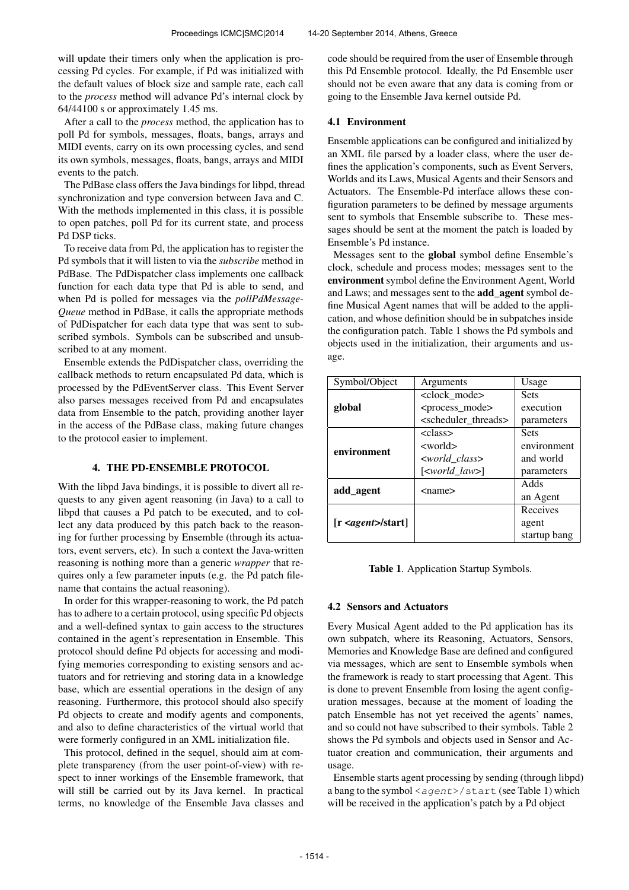will update their timers only when the application is processing Pd cycles. For example, if Pd was initialized with the default values of block size and sample rate, each call to the *process* method will advance Pd's internal clock by 64/44100 s or approximately 1.45 ms.

After a call to the *process* method, the application has to poll Pd for symbols, messages, floats, bangs, arrays and MIDI events, carry on its own processing cycles, and send its own symbols, messages, floats, bangs, arrays and MIDI events to the patch.

The PdBase class offers the Java bindings for libpd, thread synchronization and type conversion between Java and C. With the methods implemented in this class, it is possible to open patches, poll Pd for its current state, and process Pd DSP ticks.

To receive data from Pd, the application has to register the Pd symbols that it will listen to via the *subscribe* method in PdBase. The PdDispatcher class implements one callback function for each data type that Pd is able to send, and when Pd is polled for messages via the *pollPdMessage-Queue* method in PdBase, it calls the appropriate methods of PdDispatcher for each data type that was sent to subscribed symbols. Symbols can be subscribed and unsubscribed to at any moment.

Ensemble extends the PdDispatcher class, overriding the callback methods to return encapsulated Pd data, which is processed by the PdEventServer class. This Event Server also parses messages received from Pd and encapsulates data from Ensemble to the patch, providing another layer in the access of the PdBase class, making future changes to the protocol easier to implement.

## 4. THE PD-ENSEMBLE PROTOCOL

With the libpd Java bindings, it is possible to divert all requests to any given agent reasoning (in Java) to a call to libpd that causes a Pd patch to be executed, and to collect any data produced by this patch back to the reasoning for further processing by Ensemble (through its actuators, event servers, etc). In such a context the Java-written reasoning is nothing more than a generic *wrapper* that requires only a few parameter inputs (e.g. the Pd patch filename that contains the actual reasoning).

In order for this wrapper-reasoning to work, the Pd patch has to adhere to a certain protocol, using specific Pd objects and a well-defined syntax to gain access to the structures contained in the agent's representation in Ensemble. This protocol should define Pd objects for accessing and modifying memories corresponding to existing sensors and actuators and for retrieving and storing data in a knowledge base, which are essential operations in the design of any reasoning. Furthermore, this protocol should also specify Pd objects to create and modify agents and components, and also to define characteristics of the virtual world that were formerly configured in an XML initialization file.

This protocol, defined in the sequel, should aim at complete transparency (from the user point-of-view) with respect to inner workings of the Ensemble framework, that will still be carried out by its Java kernel. In practical terms, no knowledge of the Ensemble Java classes and code should be required from the user of Ensemble through this Pd Ensemble protocol. Ideally, the Pd Ensemble user should not be even aware that any data is coming from or going to the Ensemble Java kernel outside Pd.

### 4.1 Environment

Ensemble applications can be configured and initialized by an XML file parsed by a loader class, where the user defines the application's components, such as Event Servers, Worlds and its Laws, Musical Agents and their Sensors and Actuators. The Ensemble-Pd interface allows these configuration parameters to be defined by message arguments sent to symbols that Ensemble subscribe to. These messages should be sent at the moment the patch is loaded by Ensemble's Pd instance.

Messages sent to the global symbol define Ensemble's clock, schedule and process modes; messages sent to the environment symbol define the Environment Agent, World and Laws; and messages sent to the add\_agent symbol define Musical Agent names that will be added to the application, and whose definition should be in subpatches inside the configuration patch. Table 1 shows the Pd symbols and objects used in the initialization, their arguments and usage.

| Symbol/Object                    | Arguments                               | Usage        |
|----------------------------------|-----------------------------------------|--------------|
|                                  | <clock_mode></clock_mode>               | <b>Sets</b>  |
| global                           | <process_mode></process_mode>           | execution    |
|                                  | <scheduler_threads></scheduler_threads> | parameters   |
| environment                      | <class></class>                         | <b>Sets</b>  |
|                                  | <world></world>                         | environment  |
|                                  | <world class=""></world>                | and world    |
|                                  | $[<$ <i>world_law</i> >]                | parameters   |
| add_agent                        | $<$ name $>$                            | Adds         |
|                                  |                                         | an Agent     |
|                                  |                                         | Receives     |
| [r <i>agent</i> > <i>start</i> ] |                                         | agent        |
|                                  |                                         | startup bang |

Table 1. Application Startup Symbols.

## 4.2 Sensors and Actuators

Every Musical Agent added to the Pd application has its own subpatch, where its Reasoning, Actuators, Sensors, Memories and Knowledge Base are defined and configured via messages, which are sent to Ensemble symbols when the framework is ready to start processing that Agent. This is done to prevent Ensemble from losing the agent configuration messages, because at the moment of loading the patch Ensemble has not yet received the agents' names, and so could not have subscribed to their symbols. Table 2 shows the Pd symbols and objects used in Sensor and Actuator creation and communication, their arguments and usage.

Ensemble starts agent processing by sending (through libpd) a bang to the symbol <agent>/start (see Table 1) which will be received in the application's patch by a Pd object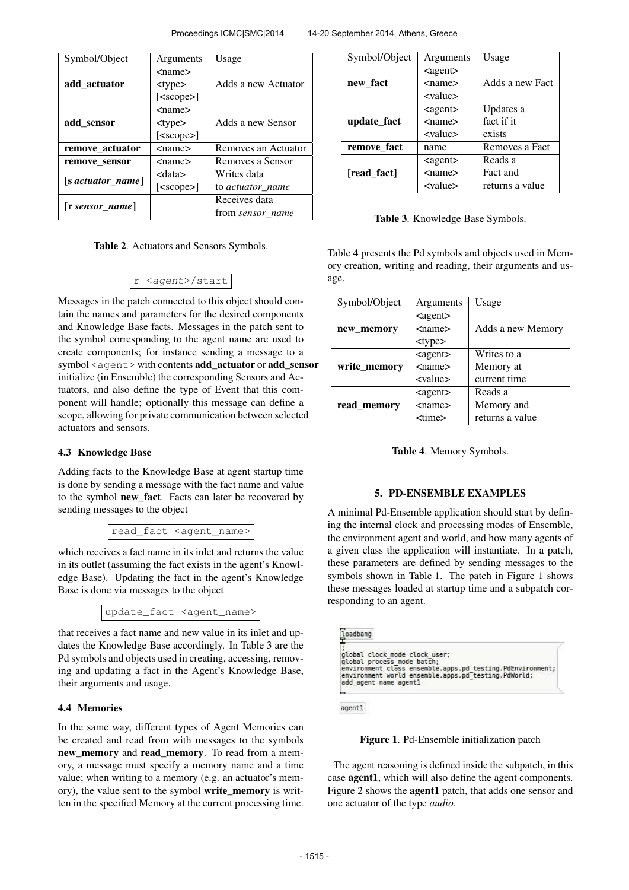| Symbol/Object           | Arguments        | Usage               |
|-------------------------|------------------|---------------------|
|                         | <name></name>    |                     |
| add actuator            | $<$ type $>$     | Adds a new Actuator |
|                         | $[<$ scope $>$ ] |                     |
|                         | $<$ name $>$     |                     |
| add_sensor              | $<$ type $>$     | Adds a new Sensor   |
|                         | $[<$ scope $>$ ] |                     |
| remove_actuator         | <name></name>    | Removes an Actuator |
| remove sensor           | <name></name>    | Removes a Sensor    |
|                         | <data></data>    | Writes data         |
| $[$ s actuator_name $]$ | $[<$ scope $>$ ] | to actuator name    |
| $[$ r sensor name $]$   |                  | Receives data       |
|                         |                  | from sensor_name    |

Table 2. Actuators and Sensors Symbols.

$$
r \langle agent \rangle / start
$$

Messages in the patch connected to this object should contain the names and parameters for the desired components and Knowledge Base facts. Messages in the patch sent to the symbol corresponding to the agent name are used to create components; for instance sending a message to a symbol <agent> with contents add\_actuator or add\_sensor initialize (in Ensemble) the corresponding Sensors and Actuators, and also define the type of Event that this component will handle; optionally this message can define a scope, allowing for private communication between selected actuators and sensors.

### 4.3 Knowledge Base

Adding facts to the Knowledge Base at agent startup time is done by sending a message with the fact name and value to the symbol new\_fact. Facts can later be recovered by sending messages to the object

read\_fact <agent\_name>

which receives a fact name in its inlet and returns the value in its outlet (assuming the fact exists in the agent's Knowledge Base). Updating the fact in the agent's Knowledge Base is done via messages to the object

update\_fact <agent\_name>

that receives a fact name and new value in its inlet and updates the Knowledge Base accordingly. In Table 3 are the Pd symbols and objects used in creating, accessing, removing and updating a fact in the Agent's Knowledge Base, their arguments and usage.

## 4.4 Memories

In the same way, different types of Agent Memories can be created and read from with messages to the symbols new\_memory and read\_memory. To read from a memory, a message must specify a memory name and a time value; when writing to a memory (e.g. an actuator's memory), the value sent to the symbol write\_memory is written in the specified Memory at the current processing time.

| Symbol/Object | Arguments         | Usage           |
|---------------|-------------------|-----------------|
|               | $\alpha$ gent $>$ |                 |
| new fact      | $<$ name $>$      | Adds a new Fact |
|               | <value></value>   |                 |
| update fact   | $\alpha$ gent $>$ | Updates a       |
|               | $<$ name $>$      | fact if it      |
|               | <value></value>   | exists          |
| remove fact   | name              | Removes a Fact  |
|               | $\alpha$ gent $>$ | Reads a         |
| [read_fact]   | $<$ name $>$      | Fact and        |
|               | <value></value>   | returns a value |

Table 3. Knowledge Base Symbols.

Table 4 presents the Pd symbols and objects used in Memory creation, writing and reading, their arguments and usage.

| Symbol/Object | Arguments                 | Usage             |
|---------------|---------------------------|-------------------|
|               | $\alpha$ gent $\epsilon$  |                   |
| new memory    | $<$ name $>$              | Adds a new Memory |
|               | $<$ type $>$              |                   |
|               | $\alpha$ gent $>$         | Writes to a       |
| write memory  | $<$ name $>$              | Memory at         |
|               | $\langle$ value $\rangle$ | current time      |
|               | $\alpha$ gent $\epsilon$  | Reads a           |
| read_memory   | $<$ name $>$              | Memory and        |
|               | <time></time>             | returns a value   |

Table 4. Memory Symbols.

### 5. PD-ENSEMBLE EXAMPLES

A minimal Pd-Ensemble application should start by defining the internal clock and processing modes of Ensemble, the environment agent and world, and how many agents of a given class the application will instantiate. In a patch, these parameters are defined by sending messages to the symbols shown in Table 1. The patch in Figure 1 shows these messages loaded at startup time and a subpatch corresponding to an agent.

|                       | global clock mode clock user;                                    |  |
|-----------------------|------------------------------------------------------------------|--|
|                       | global process mode batch;                                       |  |
|                       | environment class ensemble.apps.pd testing.PdEnvironment;        |  |
|                       | environment world ensemble.apps.pd <sup>-</sup> testing.PdWorld; |  |
| add agent name agentl |                                                                  |  |

agentl

Figure 1. Pd-Ensemble initialization patch

The agent reasoning is defined inside the subpatch, in this case agent1, which will also define the agent components. Figure 2 shows the agent1 patch, that adds one sensor and one actuator of the type *audio*.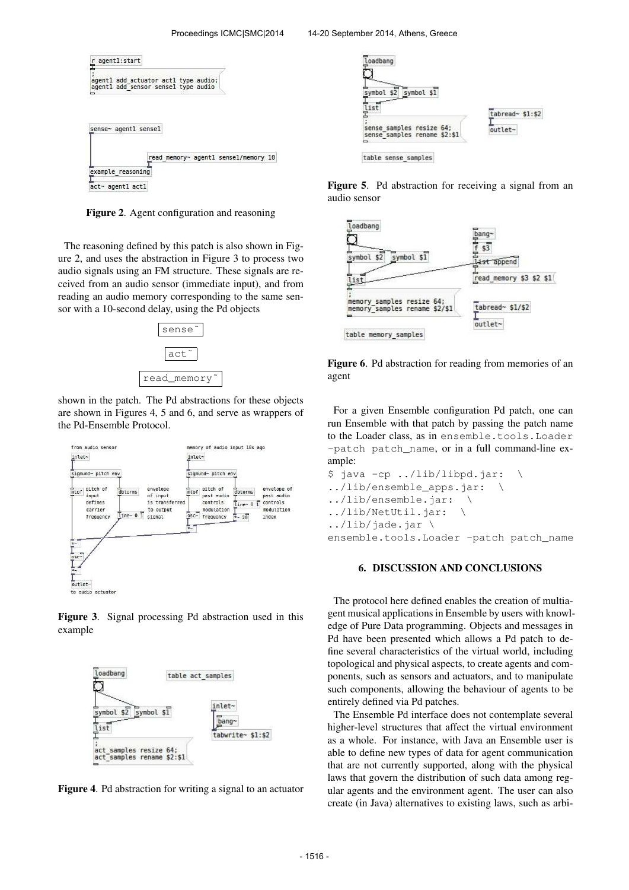

Figure 2. Agent configuration and reasoning

The reasoning defined by this patch is also shown in Figure 2, and uses the abstraction in Figure 3 to process two audio signals using an FM structure. These signals are received from an audio sensor (immediate input), and from reading an audio memory corresponding to the same sensor with a 10-second delay, using the Pd objects



shown in the patch. The Pd abstractions for these objects are shown in Figures 4, 5 and 6, and serve as wrappers of the Pd-Ensemble Protocol.



Figure 3. Signal processing Pd abstraction used in this example



Figure 4. Pd abstraction for writing a signal to an actuator



Figure 5. Pd abstraction for receiving a signal from an audio sensor





For a given Ensemble configuration Pd patch, one can run Ensemble with that patch by passing the patch name to the Loader class, as in ensemble.tools.Loader -patch patch name, or in a full command-line example:

```
$ java -cp ../lib/libpd.jar: \
../lib/ensemble_apps.jar: \
../lib/ensemble.jar: \
../lib/NetUtil.jar: \
../lib/jade.jar \
ensemble.tools.Loader -patch patch_name
```
### 6. DISCUSSION AND CONCLUSIONS

The protocol here defined enables the creation of multiagent musical applications in Ensemble by users with knowledge of Pure Data programming. Objects and messages in Pd have been presented which allows a Pd patch to define several characteristics of the virtual world, including topological and physical aspects, to create agents and components, such as sensors and actuators, and to manipulate such components, allowing the behaviour of agents to be entirely defined via Pd patches.

The Ensemble Pd interface does not contemplate several higher-level structures that affect the virtual environment as a whole. For instance, with Java an Ensemble user is able to define new types of data for agent communication that are not currently supported, along with the physical laws that govern the distribution of such data among regular agents and the environment agent. The user can also create (in Java) alternatives to existing laws, such as arbi-